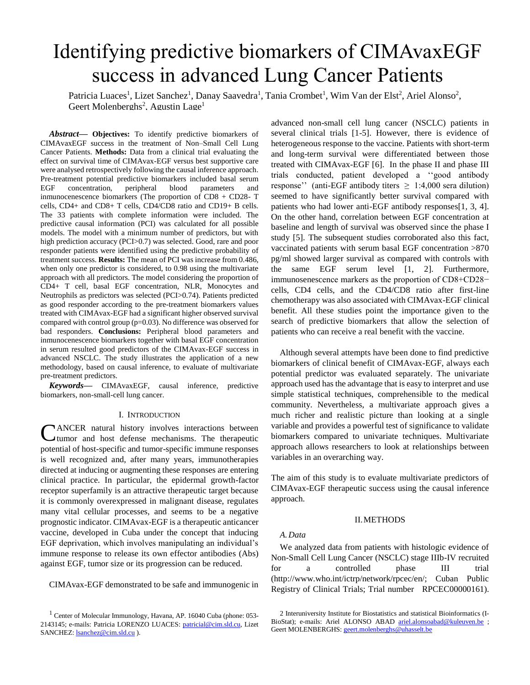# Identifying predictive biomarkers of CIMAvaxEGF success in advanced Lung Cancer Patients

Patricia Luaces<sup>1</sup>, Lizet Sanchez<sup>1</sup>, Danay Saavedra<sup>1</sup>, Tania Crombet<sup>1</sup>, Wim Van der Elst<sup>2</sup>, Ariel Alonso<sup>2</sup>, Geert Molenberghs<sup>2</sup>, Agustin Lage<sup>1</sup>

*Abstract***— Objectives:** To identify predictive biomarkers of CIMAvaxEGF success in the treatment of Non–Small Cell Lung Cancer Patients. **Methods:** Data from a clinical trial evaluating the effect on survival time of CIMAvax-EGF versus best supportive care were analysed retrospectively following the causal inference approach. Pre-treatment potential predictive biomarkers included basal serum EGF concentration, peripheral blood parameters and inmunocenescence biomarkers (The proportion of CD8 + CD28- T cells, CD4+ and CD8+ T cells, CD4/CD8 ratio and CD19+ B cells. The 33 patients with complete information were included. The predictive causal information (PCI) was calculated for all possible models. The model with a minimum number of predictors, but with high prediction accuracy (PCI>0.7) was selected. Good, rare and poor responder patients were identified using the predictive probability of treatment success. **Results:** The mean of PCI was increase from 0.486, when only one predictor is considered, to 0.98 using the multivariate approach with all predictors. The model considering the proportion of CD4+ T cell, basal EGF concentration, NLR, Monocytes and Neutrophils as predictors was selected (PCI>0.74). Patients predicted as good responder according to the pre-treatment biomarkers values treated with CIMAvax-EGF had a significant higher observed survival compared with control group (p=0.03). No difference was observed for bad responders. **Conclusions:** Peripheral blood parameters and inmunocenescence biomarkers together with basal EGF concentration in serum resulted good predictors of the CIMAvax-EGF success in advanced NSCLC. The study illustrates the application of a new methodology, based on causal inference, to evaluate of multivariate pre-treatment predictors.

*Keywords***—** CIMAvaxEGF, causal inference, predictive biomarkers, non-small-cell lung cancer.

## I. INTRODUCTION

ANCER natural history involves interactions between CANCER natural history involves interactions between tumor and host defense mechanisms. The therapeutic potential of host-specific and tumor-specific immune responses is well recognized and, after many years, immunotherapies directed at inducing or augmenting these responses are entering clinical practice. In particular, the epidermal growth-factor receptor superfamily is an attractive therapeutic target because it is commonly overexpressed in malignant disease, regulates many vital cellular processes, and seems to be a negative prognostic indicator. CIMAvax-EGF is a therapeutic anticancer vaccine, developed in Cuba under the concept that inducing EGF deprivation, which involves manipulating an individual's immune response to release its own effector antibodies (Abs) against EGF, tumor size or its progression can be reduced.

CIMAvax-EGF demonstrated to be safe and immunogenic in

advanced non-small cell lung cancer (NSCLC) patients in several clinical trials [1-5]. However, there is evidence of heterogeneous response to the vaccine. Patients with short-term and long-term survival were differentiated between those treated with CIMAvax-EGF [6]. In the phase II and phase III trials conducted, patient developed a ''good antibody response'' (anti-EGF antibody titers  $\geq 1:4,000$  sera dilution) seemed to have significantly better survival compared with patients who had lower anti-EGF antibody responses[1, 3, 4]. On the other hand, correlation between EGF concentration at baseline and length of survival was observed since the phase I study [5]. The subsequent studies corroborated also this fact, vaccinated patients with serum basal EGF concentration >870 pg/ml showed larger survival as compared with controls with the same EGF serum level [1, 2]. Furthermore, immunosenescence markers as the proportion of CD8+CD28− cells, CD4 cells, and the CD4/CD8 ratio after first-line chemotherapy was also associated with CIMAvax-EGF clinical benefit. All these studies point the importance given to the search of predictive biomarkers that allow the selection of patients who can receive a real benefit with the vaccine.

Although several attempts have been done to find predictive biomarkers of clinical benefit of CIMAvax-EGF, always each potential predictor was evaluated separately. The univariate approach used has the advantage that is easy to interpret and use simple statistical techniques, comprehensible to the medical community. Nevertheless, a multivariate approach gives a much richer and realistic picture than looking at a single variable and provides a powerful test of significance to validate biomarkers compared to univariate techniques. Multivariate approach allows researchers to look at relationships between variables in an overarching way.

The aim of this study is to evaluate multivariate predictors of CIMAvax-EGF therapeutic success using the causal inference approach.

#### II.METHODS

#### *A.Data*

We analyzed data from patients with histologic evidence of Non-Small Cell Lung Cancer (NSCLC) stage IIIb-IV recruited for a controlled phase III trial (http://www.who.int/ictrp/network/rpcec/en/; Cuban Public Registry of Clinical Trials; Trial number RPCEC00000161).

<sup>1</sup> Center of Molecular Immunology, Havana, AP. 16040 Cuba (phone: 053- 2143145; e-mails: Patricia LORENZO LUACES: [patricial@cim.sld.cu,](mailto:patricial@cim.sld.cu) Lizet SANCHEZ: [lsanchez@cim.sld.cu](mailto:lsanchez@cim.sld.cu)).

<sup>2</sup> Interuniversity Institute for Biostatistics and statistical Bioinformatics (IBioStat); e-mails: Ariel ALONSO ABAD [ariel.alonsoabad@kuleuven.be](mailto:ariel.alonsoabad@kuleuven.be) ; Geert MOLENBERGHS[: geert.molenberghs@uhasselt.be](mailto:geert.molenberghs@uhasselt.be)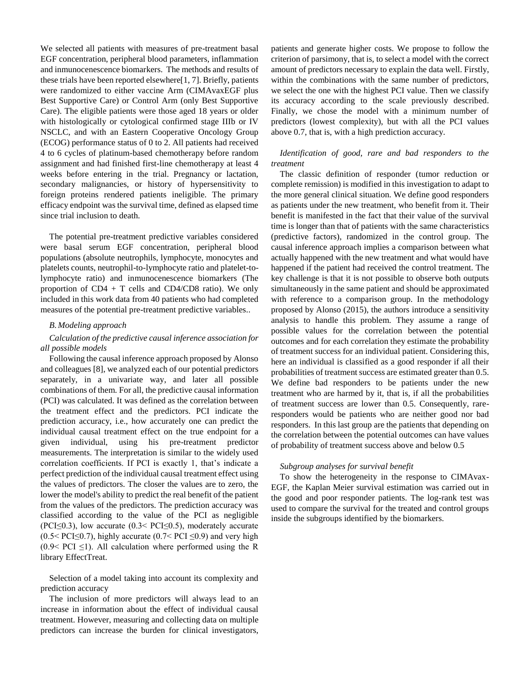We selected all patients with measures of pre-treatment basal EGF concentration, peripheral blood parameters, inflammation and inmunocenescence biomarkers. The methods and results of these trials have been reported elsewhere[1, 7]. Briefly, patients were randomized to either vaccine Arm (CIMAvaxEGF plus Best Supportive Care) or Control Arm (only Best Supportive Care). The eligible patients were those aged 18 years or older with histologically or cytological confirmed stage IIIb or IV NSCLC, and with an Eastern Cooperative Oncology Group (ECOG) performance status of 0 to 2. All patients had received 4 to 6 cycles of platinum-based chemotherapy before random assignment and had finished first-line chemotherapy at least 4 weeks before entering in the trial. Pregnancy or lactation, secondary malignancies, or history of hypersensitivity to foreign proteins rendered patients ineligible. The primary efficacy endpoint was the survival time, defined as elapsed time since trial inclusion to death.

The potential pre-treatment predictive variables considered were basal serum EGF concentration, peripheral blood populations (absolute neutrophils, lymphocyte, monocytes and platelets counts, neutrophil-to-lymphocyte ratio and platelet-tolymphocyte ratio) and inmunocenescence biomarkers (The proportion of  $CD4 + T$  cells and  $CD4/CD8$  ratio). We only included in this work data from 40 patients who had completed measures of the potential pre-treatment predictive variables..

#### *B.Modeling approach*

# *Calculation of the predictive causal inference association for all possible models*

Following the causal inference approach proposed by Alonso and colleagues [8], we analyzed each of our potential predictors separately, in a univariate way, and later all possible combinations of them. For all, the predictive causal information (PCI) was calculated. It was defined as the correlation between the treatment effect and the predictors. PCI indicate the prediction accuracy, i.e., how accurately one can predict the individual causal treatment effect on the true endpoint for a given individual, using his pre-treatment predictor measurements. The interpretation is similar to the widely used correlation coefficients. If PCI is exactly 1, that's indicate a perfect prediction of the individual causal treatment effect using the values of predictors. The closer the values are to zero, the lower the model's ability to predict the real benefit of the patient from the values of the predictors. The prediction accuracy was classified according to the value of the PCI as negligible (PCI $\leq$ 0.3), low accurate (0.3< PCI $\leq$ 0.5), moderately accurate  $(0.5 < PCI \le 0.7)$ , highly accurate  $(0.7 < PCI \le 0.9)$  and very high  $(0.9 < PCI \leq 1)$ . All calculation where performed using the R library EffectTreat.

Selection of a model taking into account its complexity and prediction accuracy

The inclusion of more predictors will always lead to an increase in information about the effect of individual causal treatment. However, measuring and collecting data on multiple predictors can increase the burden for clinical investigators,

patients and generate higher costs. We propose to follow the criterion of parsimony, that is, to select a model with the correct amount of predictors necessary to explain the data well. Firstly, within the combinations with the same number of predictors, we select the one with the highest PCI value. Then we classify its accuracy according to the scale previously described. Finally, we chose the model with a minimum number of predictors (lowest complexity), but with all the PCI values above 0.7, that is, with a high prediction accuracy.

# *Identification of good, rare and bad responders to the treatment*

The classic definition of responder (tumor reduction or complete remission) is modified in this investigation to adapt to the more general clinical situation. We define good responders as patients under the new treatment, who benefit from it. Their benefit is manifested in the fact that their value of the survival time is longer than that of patients with the same characteristics (predictive factors), randomized in the control group. The causal inference approach implies a comparison between what actually happened with the new treatment and what would have happened if the patient had received the control treatment. The key challenge is that it is not possible to observe both outputs simultaneously in the same patient and should be approximated with reference to a comparison group. In the methodology proposed by Alonso (2015), the authors introduce a sensitivity analysis to handle this problem. They assume a range of possible values for the correlation between the potential outcomes and for each correlation they estimate the probability of treatment success for an individual patient. Considering this, here an individual is classified as a good responder if all their probabilities of treatment success are estimated greater than 0.5. We define bad responders to be patients under the new treatment who are harmed by it, that is, if all the probabilities of treatment success are lower than 0.5. Consequently, rareresponders would be patients who are neither good nor bad responders. In this last group are the patients that depending on the correlation between the potential outcomes can have values of probability of treatment success above and below 0.5

#### *Subgroup analyses for survival benefit*

To show the heterogeneity in the response to CIMAvax-EGF, the Kaplan Meier survival estimation was carried out in the good and poor responder patients. The log-rank test was used to compare the survival for the treated and control groups inside the subgroups identified by the biomarkers.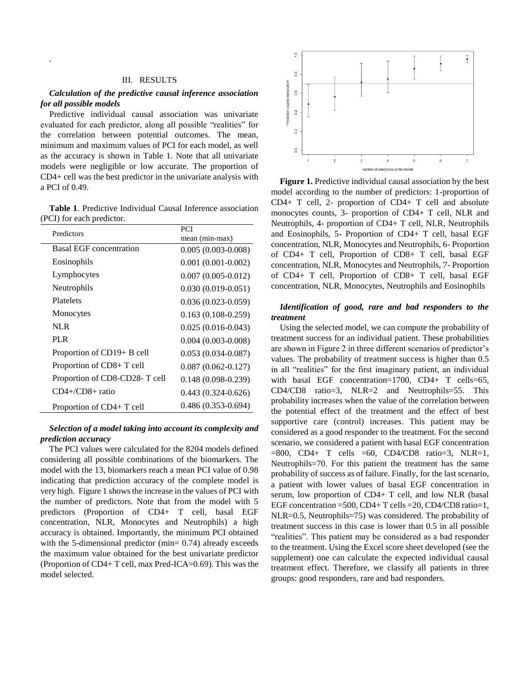## III. RESULTS

*.*

## *Calculation of the predictive causal inference association for all possible models*

Predictive individual causal association was univariate evaluated for each predictor, along all possible "realities" for the correlation between potential outcomes. The mean, minimum and maximum values of PCI for each model, as well as the accuracy is shown in Table 1. Note that all univariate models were negligible or low accurate. The proportion of CD4+ cell was the best predictor in the univariate analysis with a PCI of 0.49.

**Table 1**. Predictive Individual Causal Inference association (PCI) for each predictor.

| Predictors                     | <b>PCI</b>             |
|--------------------------------|------------------------|
|                                | mean (min-max)         |
| <b>Basal EGF</b> concentration | $0.005(0.003-0.008)$   |
| Eosinophils                    | $0.001(0.001-0.002)$   |
| Lymphocytes                    | $0.007(0.005 - 0.012)$ |
| Neutrophils                    | $0.030(0.019-0.051)$   |
| Platelets                      | $0.036(0.023-0.059)$   |
| Monocytes                      | $0.163(0.108-0.259)$   |
| <b>NLR</b>                     | $0.025(0.016-0.043)$   |
| <b>PLR</b>                     | $0.004(0.003-0.008)$   |
| Proportion of CD19+ B cell     | $0.053(0.034-0.087)$   |
| Proportion of CD8+ T cell      | $0.087(0.062 - 0.127)$ |
| Proportion of CD8-CD28-T cell  | $0.148(0.098-0.239)$   |
| $CD4 + /CD8 +$ ratio           | $0.443(0.324-0.626)$   |
| Proportion of CD4+ T cell      | $0.486(0.353 - 0.694)$ |

## *Selection of a model taking into account its complexity and prediction accuracy*

The PCI values were calculated for the 8204 models defined considering all possible combinations of the biomarkers. The model with the 13, biomarkers reach a mean PCI value of 0.98 indicating that prediction accuracy of the complete model is very high. Figure 1 shows the increase in the values of PCI with the number of predictors. Note that from the model with 5 predictors (Proportion of CD4+ T cell, basal EGF concentration, NLR, Monocytes and Neutrophils) a high accuracy is obtained. Importantly, the minimum PCI obtained with the 5-dimensional predictor (min= 0.74) already exceeds the maximum value obtained for the best univariate predictor (Proportion of CD4+ T cell, max Pred-ICA=0.69). This was the model selected.



**Figure 1.** Predictive individual causal association by the best model according to the number of predictors: 1-proportion of CD4+ T cell, 2- proportion of CD4+ T cell and absolute monocytes counts, 3- proportion of CD4+ T cell, NLR and Neutrophils, 4- proportion of CD4+ T cell, NLR, Neutrophils and Eosinophils, 5- Proportion of CD4+ T cell, basal EGF concentration, NLR, Monocytes and Neutrophils, 6- Proportion of CD4+ T cell, Proportion of CD8+ T cell, basal EGF concentration, NLR, Monocytes and Neutrophils, 7- Proportion of CD4+ T cell, Proportion of CD8+ T cell, basal EGF concentration, NLR, Monocytes, Neutrophils and Eosinophils

#### *Identification of good, rare and bad responders to the treatment*

Using the selected model, we can compute the probability of treatment success for an individual patient. These probabilities are shown in Figure 2 in three different scenarios of predictor's values. The probability of treatment success is higher than 0.5 in all "realities" for the first imaginary patient, an individual with basal EGF concentration=1700, CD4+ T cells=65, CD4/CD8 ratio=3, NLR=2 and Neutrophils=55. This probability increases when the value of the correlation between the potential effect of the treatment and the effect of best supportive care (control) increases. This patient may be considered as a good responder to the treatment. For the second scenario, we considered a patient with basal EGF concentration  $=800$ , CD4+ T cells  $=60$ , CD4/CD8 ratio=3, NLR=1, Neutrophils=70. For this patient the treatment has the same probability of success as of failure. Finally, for the last scenario, a patient with lower values of basal EGF concentration in serum, low proportion of CD4+ T cell, and low NLR (basal EGF concentration =500, CD4+ T cells =20, CD4/CD8 ratio=1, NLR=0.5, Neutrophils=75) was considered. The probability of treatment success in this case is lower than 0.5 in all possible "realities". This patient may be considered as a bad responder to the treatment. Using the Excel score sheet developed (see the supplement) one can calculate the expected individual causal treatment effect. Therefore, we classify all patients in three groups: good responders, rare and bad responders.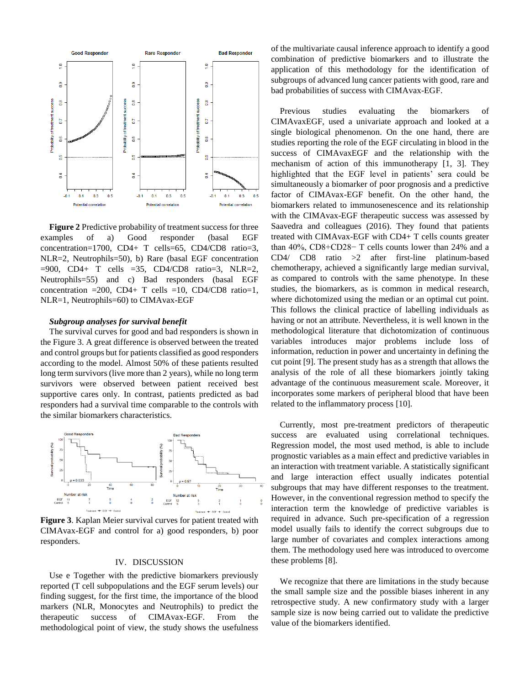

**Figure 2** Predictive probability of treatment success for three examples of a) Good responder (basal EGF concentration=1700, CD4+ T cells=65, CD4/CD8 ratio=3, NLR=2, Neutrophils=50), b) Rare (basal EGF concentration  $=900$ , CD4+ T cells  $=35$ , CD4/CD8 ratio=3, NLR=2, Neutrophils=55) and c) Bad responders (basal EGF concentration =200, CD4+ T cells =10, CD4/CD8 ratio=1, NLR=1, Neutrophils=60) to CIMAvax-EGF

#### *Subgroup analyses for survival benefit*

The survival curves for good and bad responders is shown in the Figure 3. A great difference is observed between the treated and control groups but for patients classified as good responders according to the model. Almost 50% of these patients resulted long term survivors (live more than 2 years), while no long term survivors were observed between patient received best supportive cares only. In contrast, patients predicted as bad responders had a survival time comparable to the controls with the similar biomarkers characteristics.



**Figure 3**. Kaplan Meier survival curves for patient treated with CIMAvax-EGF and control for a) good responders, b) poor responders.

## IV. DISCUSSION

Use e Together with the predictive biomarkers previously reported (T cell subpopulations and the EGF serum levels) our finding suggest, for the first time, the importance of the blood markers (NLR, Monocytes and Neutrophils) to predict the therapeutic success of CIMAvax-EGF. From the methodological point of view, the study shows the usefulness

of the multivariate causal inference approach to identify a good combination of predictive biomarkers and to illustrate the application of this methodology for the identification of subgroups of advanced lung cancer patients with good, rare and bad probabilities of success with CIMAvax-EGF.

Previous studies evaluating the biomarkers of CIMAvaxEGF, used a univariate approach and looked at a single biological phenomenon. On the one hand, there are studies reporting the role of the EGF circulating in blood in the success of CIMAvaxEGF and the relationship with the mechanism of action of this immunotherapy [1, 3]. They highlighted that the EGF level in patients' sera could be simultaneously a biomarker of poor prognosis and a predictive factor of CIMAvax-EGF benefit. On the other hand, the biomarkers related to immunosenescence and its relationship with the CIMAvax-EGF therapeutic success was assessed by Saavedra and colleagues (2016). They found that patients treated with CIMAvax-EGF with CD4+ T cells counts greater than 40%, CD8+CD28− T cells counts lower than 24% and a CD4/ CD8 ratio >2 after first-line platinum-based chemotherapy, achieved a significantly large median survival, as compared to controls with the same phenotype. In these studies, the biomarkers, as is common in medical research, where dichotomized using the median or an optimal cut point. This follows the clinical practice of labelling individuals as having or not an attribute. Nevertheless, it is well known in the methodological literature that dichotomization of continuous variables introduces major problems include loss of information, reduction in power and uncertainty in defining the cut point [9]. The present study has as a strength that allows the analysis of the role of all these biomarkers jointly taking advantage of the continuous measurement scale. Moreover, it incorporates some markers of peripheral blood that have been related to the inflammatory process [10].

Currently, most pre-treatment predictors of therapeutic success are evaluated using correlational techniques. Regression model, the most used method, is able to include prognostic variables as a main effect and predictive variables in an interaction with treatment variable. A statistically significant and large interaction effect usually indicates potential subgroups that may have different responses to the treatment. However, in the conventional regression method to specify the interaction term the knowledge of predictive variables is required in advance. Such pre-specification of a regression model usually fails to identify the correct subgroups due to large number of covariates and complex interactions among them. The methodology used here was introduced to overcome these problems [8].

We recognize that there are limitations in the study because the small sample size and the possible biases inherent in any retrospective study. A new confirmatory study with a larger sample size is now being carried out to validate the predictive value of the biomarkers identified.